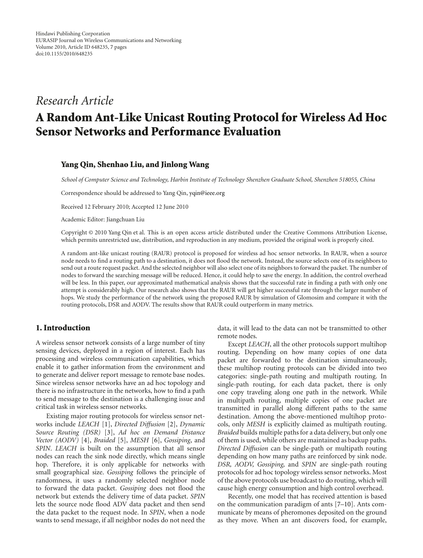# *Research Article*

# **A Random Ant-Like Unicast Routing Protocol for Wireless Ad Hoc Sensor Networks and Performance Evaluation**

## **Yang Qin, Shenhao Liu, and Jinlong Wang**

*School of Computer Science and Technology, Harbin Institute of Technology Shenzhen Graduate School, Shenzhen 518055, China*

Correspondence should be addressed to Yang Qin, yqin@ieee.org

Received 12 February 2010; Accepted 12 June 2010

Academic Editor: Jiangchuan Liu

Copyright © 2010 Yang Qin et al. This is an open access article distributed under the Creative Commons Attribution License, which permits unrestricted use, distribution, and reproduction in any medium, provided the original work is properly cited.

A random ant-like unicast routing (RAUR) protocol is proposed for wireless ad hoc sensor networks. In RAUR, when a source node needs to find a routing path to a destination, it does not flood the network. Instead, the source selects one of its neighbors to send out a route request packet. And the selected neighbor will also select one of its neighbors to forward the packet. The number of nodes to forward the searching message will be reduced. Hence, it could help to save the energy. In addition, the control overhead will be less. In this paper, our approximated mathematical analysis shows that the successful rate in finding a path with only one attempt is considerably high. Our research also shows that the RAUR will get higher successful rate through the larger number of hops. We study the performance of the network using the proposed RAUR by simulation of Glomosim and compare it with the routing protocols, DSR and AODV. The results show that RAUR could outperform in many metrics.

# **1. Introduction**

A wireless sensor network consists of a large number of tiny sensing devices, deployed in a region of interest. Each has processing and wireless communication capabilities, which enable it to gather information from the environment and to generate and deliver report message to remote base nodes. Since wireless sensor networks have an ad hoc topology and there is no infrastructure in the networks, how to find a path to send message to the destination is a challenging issue and critical task in wireless sensor networks.

Existing major routing protocols for wireless sensor networks include *LEACH* [1], *Directed Diffusion* [2], *Dynamic Source Routing (DSR)* [3], *Ad hoc on Demand Distance Vector (AODV)* [4], *Braided* [5], *MESH* [6], *Gossiping*, and *SPIN*. *LEACH* is built on the assumption that all sensor nodes can reach the sink node directly, which means single hop. Therefore, it is only applicable for networks with small geographical size. *Gossiping* follows the principle of randomness, it uses a randomly selected neighbor node to forward the data packet. *Gossiping* does not flood the network but extends the delivery time of data packet. *SPIN* lets the source node flood ADV data packet and then send the data packet to the request node. In *SPIN*, when a node wants to send message, if all neighbor nodes do not need the

data, it will lead to the data can not be transmitted to other remote nodes.

Except *LEACH*, all the other protocols support multihop routing. Depending on how many copies of one data packet are forwarded to the destination simultaneously, these multihop routing protocols can be divided into two categories: single-path routing and multipath routing. In single-path routing, for each data packet, there is only one copy traveling along one path in the network. While in multipath routing, multiple copies of one packet are transmitted in parallel along different paths to the same destination. Among the above-mentioned multihop protocols, only *MESH* is explicitly claimed as multipath routing. *Braided* builds multiple paths for a data delivery, but only one of them is used, while others are maintained as backup paths. *Directed Diffusion* can be single-path or multipath routing depending on how many paths are reinforced by sink node. *DSR, AODV, Gossiping,* and *SPIN* are single-path routing protocols for ad hoc topology wireless sensor networks. Most of the above protocols use broadcast to do routing, which will cause high energy consumption and high control overhead.

Recently, one model that has received attention is based on the communication paradigm of ants [7–10]. Ants communicate by means of pheromones deposited on the ground as they move. When an ant discovers food, for example,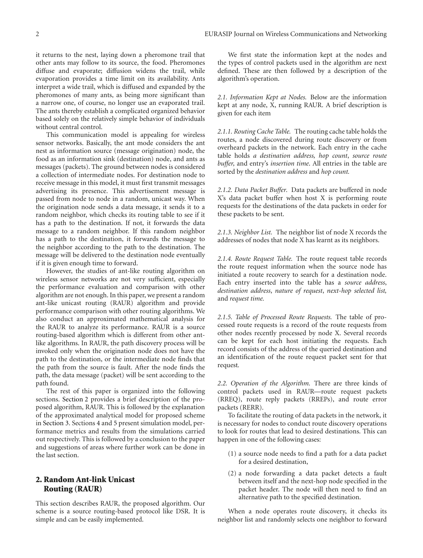it returns to the nest, laying down a pheromone trail that other ants may follow to its source, the food. Pheromones diffuse and evaporate; diffusion widens the trail, while evaporation provides a time limit on its availability. Ants interpret a wide trail, which is diffused and expanded by the pheromones of many ants, as being more significant than a narrow one, of course, no longer use an evaporated trail. The ants thereby establish a complicated organized behavior based solely on the relatively simple behavior of individuals without central control.

This communication model is appealing for wireless sensor networks. Basically, the ant mode considers the ant nest as information source (message origination) node, the food as an information sink (destination) node, and ants as messages (packets). The ground between nodes is considered a collection of intermediate nodes. For destination node to receive message in this model, it must first transmit messages advertising its presence. This advertisement message is passed from node to node in a random, unicast way. When the origination node sends a data message, it sends it to a random neighbor, which checks its routing table to see if it has a path to the destination. If not, it forwards the data message to a random neighbor. If this random neighbor has a path to the destination, it forwards the message to the neighbor according to the path to the destination. The message will be delivered to the destination node eventually if it is given enough time to forward.

However, the studies of ant-like routing algorithm on wireless sensor networks are not very sufficient, especially the performance evaluation and comparison with other algorithm are not enough. In this paper, we present a random ant-like unicast routing (RAUR) algorithm and provide performance comparison with other routing algorithms. We also conduct an approximated mathematical analysis for the RAUR to analyze its performance. RAUR is a source routing-based algorithm which is different from other antlike algorithms. In RAUR, the path discovery process will be invoked only when the origination node does not have the path to the destination, or the intermediate node finds that the path from the source is fault. After the node finds the path, the data message (packet) will be sent according to the path found.

The rest of this paper is organized into the following sections. Section 2 provides a brief description of the proposed algorithm, RAUR. This is followed by the explanation of the approximated analytical model for proposed scheme in Section 3. Sections 4 and 5 present simulation model, performance metrics and results from the simulations carried out respectively. This is followed by a conclusion to the paper and suggestions of areas where further work can be done in the last section.

# **2. Random Ant-link Unicast Routing (RAUR)**

This section describes RAUR, the proposed algorithm. Our scheme is a source routing-based protocol like DSR. It is simple and can be easily implemented.

We first state the information kept at the nodes and the types of control packets used in the algorithm are next defined. These are then followed by a description of the algorithm's operation.

*2.1. Information Kept at Nodes.* Below are the information kept at any node, X, running RAUR. A brief description is given for each item

*2.1.1. Routing Cache Table.* The routing cache table holds the routes, a node discovered during route discovery or from overheard packets in the network. Each entry in the cache table holds *a destination address, hop count*, *source route buffer,* and entry's *insertion time*. All entries in the table are sorted by the *destination address* and *hop count.*

*2.1.2. Data Packet Buffer.* Data packets are buffered in node X's data packet buffer when host X is performing route requests for the destinations of the data packets in order for these packets to be sent.

*2.1.3. Neighbor List.* The neighbor list of node X records the addresses of nodes that node X has learnt as its neighbors.

*2.1.4. Route Request Table.* The route request table records the route request information when the source node has initiated a route recovery to search for a destination node. Each entry inserted into the table has a *source address*, *destination address*, *nature of request*, *next-hop selected list,* and *request time.*

*2.1.5. Table of Processed Route Requests.* The table of processed route requests is a record of the route requests from other nodes recently processed by node X. Several records can be kept for each host initiating the requests. Each record consists of the address of the queried destination and an identification of the route request packet sent for that request*.*

*2.2. Operation of the Algorithm.* There are three kinds of control packets used in RAUR—route request packets (RREQ), route reply packets (RREPs), and route error packets (RERR).

To facilitate the routing of data packets in the network, it is necessary for nodes to conduct route discovery operations to look for routes that lead to desired destinations. This can happen in one of the following cases:

- (1) a source node needs to find a path for a data packet for a desired destination,
- (2) a node forwarding a data packet detects a fault between itself and the next-hop node specified in the packet header. The node will then need to find an alternative path to the specified destination.

When a node operates route discovery, it checks its neighbor list and randomly selects one neighbor to forward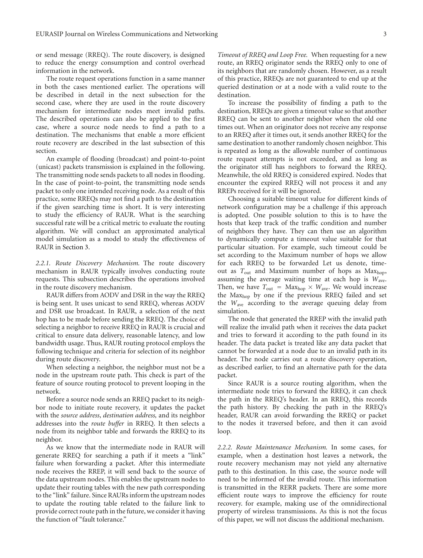or send message (RREQ). The route discovery, is designed to reduce the energy consumption and control overhead information in the network.

The route request operations function in a same manner in both the cases mentioned earlier. The operations will be described in detail in the next subsection for the second case, where they are used in the route discovery mechanism for intermediate nodes meet invalid paths. The described operations can also be applied to the first case, where a source node needs to find a path to a destination. The mechanisms that enable a more efficient route recovery are described in the last subsection of this section.

An example of flooding (broadcast) and point-to-point (unicast) packets transmission is explained in the following. The transmitting node sends packets to all nodes in flooding. In the case of point-to-point, the transmitting node sends packet to only one intended receiving node. As a result of this practice, some RREQs may not find a path to the destination if the given searching time is short. It is very interesting to study the efficiency of RAUR. What is the searching successful rate will be a critical metric to evaluate the routing algorithm. We will conduct an approximated analytical model simulation as a model to study the effectiveness of RAUR in Section 3.

*2.2.1. Route Discovery Mechanism.* The route discovery mechanism in RAUR typically involves conducting route requests. This subsection describes the operations involved in the route discovery mechanism.

RAUR differs from AODV and DSR in the way the RREQ is being sent. It uses unicast to send RREQ, whereas AODV and DSR use broadcast. In RAUR, a selection of the next hop has to be made before sending the RREQ. The choice of selecting a neighbor to receive RREQ in RAUR is crucial and critical to ensure data delivery, reasonable latency, and low bandwidth usage. Thus, RAUR routing protocol employs the following technique and criteria for selection of its neighbor during route discovery.

When selecting a neighbor, the neighbor must not be a node in the upstream route path. This check is part of the feature of source routing protocol to prevent looping in the network.

Before a source node sends an RREQ packet to its neighbor node to initiate route recovery, it updates the packet with the *source address*, *destination address,* and its neighbor addresses into the *route buffer* in RREQ. It then selects a node from its neighbor table and forwards the RREQ to its neighbor.

As we know that the intermediate node in RAUR will generate RREQ for searching a path if it meets a "link" failure when forwarding a packet. After this intermediate node receives the RREP, it will send back to the source of the data upstream nodes. This enables the upstream nodes to update their routing tables with the new path corresponding to the "link" failure. Since RAURs inform the upstream nodes to update the routing table related to the failure link to provide correct route path in the future, we consider it having the function of "fault tolerance."

*Timeout of RREQ and Loop Free.* When requesting for a new route, an RREQ originator sends the RREQ only to one of its neighbors that are randomly chosen. However, as a result of this practice, RREQs are not guaranteed to end up at the queried destination or at a node with a valid route to the destination.

To increase the possibility of finding a path to the destination, RREQs are given a timeout value so that another RREQ can be sent to another neighbor when the old one times out. When an originator does not receive any response to an RREQ after it times out, it sends another RREQ for the same destination to another randomly chosen neighbor. This is repeated as long as the allowable number of continuous route request attempts is not exceeded, and as long as the originator still has neighbors to forward the RREQ. Meanwhile, the old RREQ is considered expired. Nodes that encounter the expired RREQ will not process it and any RREPs received for it will be ignored.

Choosing a suitable timeout value for different kinds of network configuration may be a challenge if this approach is adopted. One possible solution to this is to have the hosts that keep track of the traffic condition and number of neighbors they have. They can then use an algorithm to dynamically compute a timeout value suitable for that particular situation. For example, such timeout could be set according to the Maximum number of hops we allow for each RREQ to be forwarded Let us denote, timeout as T<sub>out</sub> and Maximum number of hops as Max<sub>hop</sub>, assuming the average waiting time at each hop is *W*ave. Then, we have  $T_{\text{out}} = \text{Max}_{\text{hop}} \times W_{\text{ave}}$ . We would increase the Maxhop by one if the previous RREQ failed and set the *W*ave according to the average queuing delay from simulation.

The node that generated the RREP with the invalid path will realize the invalid path when it receives the data packet and tries to forward it according to the path found in its header. The data packet is treated like any data packet that cannot be forwarded at a node due to an invalid path in its header. The node carries out a route discovery operation, as described earlier, to find an alternative path for the data packet.

Since RAUR is a source routing algorithm, when the intermediate node tries to forward the RREQ, it can check the path in the RREQ's header. In an RREQ, this records the path history. By checking the path in the RREQ's header, RAUR can avoid forwarding the RREQ or packet to the nodes it traversed before, and then it can avoid loop.

*2.2.2. Route Maintenance Mechanism.* In some cases, for example, when a destination host leaves a network, the route recovery mechanism may not yield any alternative path to this destination. In this case, the source node will need to be informed of the invalid route. This information is transmitted in the RERR packets. There are some more efficient route ways to improve the efficiency for route recovery. for example, making use of the omnidirectional property of wireless transmissions. As this is not the focus of this paper, we will not discuss the additional mechanism.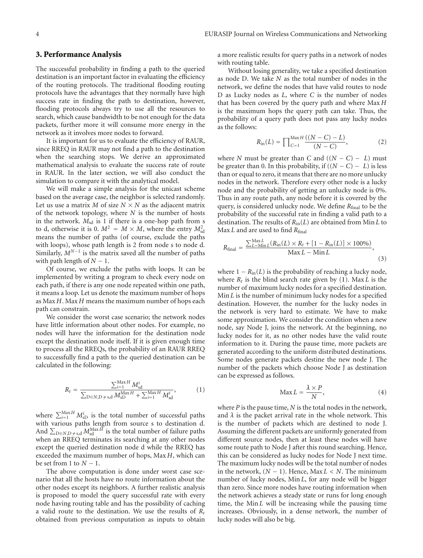## **3. Performance Analysis**

The successful probability in finding a path to the queried destination is an important factor in evaluating the efficiency of the routing protocols. The traditional flooding routing protocols have the advantages that they normally have high success rate in finding the path to destination, however, flooding protocols always try to use all the resources to search, which cause bandwidth to be not enough for the data packets, further more it will consume more energy in the network as it involves more nodes to forward.

It is important for us to evaluate the efficiency of RAUR, since RREQ in RAUR may not find a path to the destination when the searching stops. We derive an approximated mathematical analysis to evaluate the success rate of route in RAUR. In the later section, we will also conduct the simulation to compare it with the analytical model.

We will make a simple analysis for the unicast scheme based on the average case, the neighbor is selected randomly. Let us use a matrix *M* of size  $N \times N$  as the adjacent matrix of the network topology, where *N* is the number of hosts in the network.  $M_{sd}$  is 1 if there is a one-hop path from s to d, otherwise it is 0.  $M^2 = M \times M$ , where the entry  $M_{sd}^2$ means the number of paths (of course, exclude the paths with loops), whose path length is 2 from node s to node d. Similarly,  $M^{N-1}$  is the matrix saved all the number of paths with path length of  $N - 1$ .

Of course, we exclude the paths with loops. It can be implemented by writing a program to check every node on each path, if there is any one node repeated within one path, it means a loop. Let us denote the maximum number of hops as Max *H*. Max *H* means the maximum number of hops each path can constrain.

We consider the worst case scenario; the network nodes have little information about other nodes. For example, no nodes will have the information for the destination node except the destination node itself. If it is given enough time to process all the RREQs, the probability of an RAUR RREQ to successfully find a path to the queried destination can be calculated in the following:

$$
R_{t} = \frac{\sum_{i=1}^{MaxH} M_{sd}^{i}}{\sum_{D \in N, D \neq s,d} M_{sD}^{MaxH} + \sum_{i=1}^{MaxH} M_{sd}^{i}},
$$
(1)

where  $\sum_{i=1}^{\text{Max } H} M_{\text{sD}}^i$  is the total number of successful paths with various paths length from source s to destination d. And  $\sum_{D \in N, D \neq s, d} M_{sd}^{Max H}$  is the total number of failure paths when an RREQ terminates its searching at any other nodes except the queried destination node d while the RREQ has exceeded the maximum number of hops, Max *H*, which can be set from 1 to  $N - 1$ .

The above computation is done under worst case scenario that all the hosts have no route information about the other nodes except its neighbors. A further realistic analysis is proposed to model the query successful rate with every node having routing table and has the possibility of caching a valid route to the destination. We use the results of *Rt* obtained from previous computation as inputs to obtain

a more realistic results for query paths in a network of nodes with routing table.

Without losing generality, we take a specified destination as node D. We take *N* as the total number of nodes in the network, we define the nodes that have valid routes to node D as Lucky nodes as *L*, where *C* is the number of nodes that has been covered by the query path and where Max *H* is the maximum hops the query path can take. Thus, the probability of a query path does not pass any lucky nodes as the follows:

$$
R_{\rm in}(L) = \prod_{C=1}^{\text{Max } H} \frac{((N-C)-L)}{(N-C)}, \tag{2}
$$

where *N* must be greater than *C* and  $((N - C) - L)$  must be greater than 0. In this probability, if  $((N - C) - L)$  is less than or equal to zero, it means that there are no more unlucky nodes in the network. Therefore every other node is a lucky node and the probability of getting an unlucky node is 0%. Thus in any route path, any node before it is covered by the query, is considered unlucky node. We define *R*final to be the probability of the successful rate in finding a valid path to a destination. The results of *R*in(*L*) are obtained from Min *L* to Max *L* and are used to find *R*final

$$
R_{\text{final}} = \frac{\sum_{L=\text{Min}L}^{\text{Max}L} (R_{\text{in}}(L) \times R_t + [1 - R_{\text{in}}(L)] \times 100\%)}{\text{Max} L - \text{Min} L},
$$
\n(3)

where  $1 - R_{\text{in}}(L)$  is the probability of reaching a lucky node, where  $R_t$  is the blind search rate given by (1). Max *L* is the number of maximum lucky nodes for a specified destination. Min *L* is the number of minimum lucky nodes for a specified destination. However, the number for the lucky nodes in the network is very hard to estimate. We have to make some approximation. We consider the condition when a new node, say Node J, joins the network. At the beginning, no lucky nodes for it, as no other nodes have the valid route information to it. During the pause time, more packets are generated according to the uniform distributed destinations. Some nodes generate packets destine the new node J. The number of the packets which choose Node J as destination can be expressed as follows.

$$
\text{Max}\,L = \frac{\lambda \times P}{N},\tag{4}
$$

where *P* is the pause time, *N* is the total nodes in the network, and  $\lambda$  is the packet arrival rate in the whole network. This is the number of packets which are destined to node J. Assuming the different packets are uniformly generated from different source nodes, then at least these nodes will have some route path to Node J after this round searching. Hence, this can be considered as lucky nodes for Node J next time. The maximum lucky nodes will be the total number of nodes in the network,  $(N − 1)$ . Hence, Max  $L < N$ . The minimum number of lucky nodes, Min *L*, for any node will be bigger than zero. Since more nodes have routing information when the network achieves a steady state or runs for long enough time, the Min *L* will be increasing while the pausing time increases. Obviously, in a dense network, the number of lucky nodes will also be big.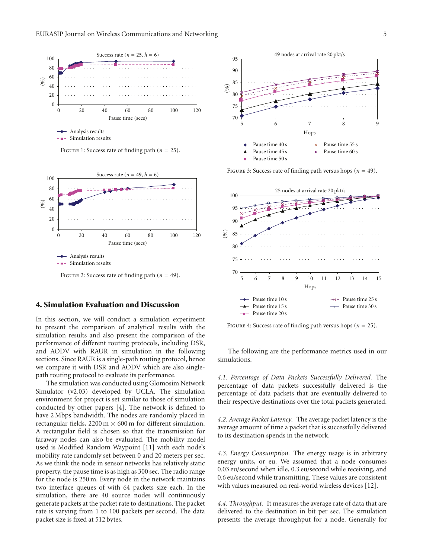



FIGURE 2: Success rate of finding path  $(n = 49)$ .

# **4. Simulation Evaluation and Discussion**

In this section, we will conduct a simulation experiment to present the comparison of analytical results with the simulation results and also present the comparison of the performance of different routing protocols, including DSR, and AODV with RAUR in simulation in the following sections. Since RAUR is a single-path routing protocol, hence we compare it with DSR and AODV which are also singlepath routing protocol to evaluate its performance.

The simulation was conducted using Glomosim Network Simulator (v2.03) developed by UCLA. The simulation environment for project is set similar to those of simulation conducted by other papers [4]. The network is defined to have 2 Mbps bandwidth. The nodes are randomly placed in rectangular fields,  $2200 \text{ m} \times 600 \text{ m}$  for different simulation. A rectangular field is chosen so that the transmission for faraway nodes can also be evaluated. The mobility model used is Modified Random Waypoint [11] with each node's mobility rate randomly set between 0 and 20 meters per sec. As we think the node in sensor networks has relatively static property, the pause time is as high as 300 sec. The radio range for the node is 250 m. Every node in the network maintains two interface queues of with 64 packets size each. In the simulation, there are 40 source nodes will continuously generate packets at the packet rate to destinations. The packet rate is varying from 1 to 100 packets per second. The data packet size is fixed at 512 bytes.



FIGURE 3: Success rate of finding path versus hops ( $n = 49$ ).



FIGURE 4: Success rate of finding path versus hops ( $n = 25$ ).

The following are the performance metrics used in our simulations.

*4.1. Percentage of Data Packets Successfully Delivered.* The percentage of data packets successfully delivered is the percentage of data packets that are eventually delivered to their respective destinations over the total packets generated.

*4.2. Average Packet Latency.* The average packet latency is the average amount of time a packet that is successfully delivered to its destination spends in the network.

*4.3. Energy Consumption.* The energy usage is in arbitrary energy units, or eu. We assumed that a node consumes 0.03 eu/second when idle, 0.3 eu/second while receiving, and 0.6 eu/second while transmitting. These values are consistent with values measured on real-world wireless devices [12].

*4.4. Throughput.* It measures the average rate of data that are delivered to the destination in bit per sec. The simulation presents the average throughput for a node. Generally for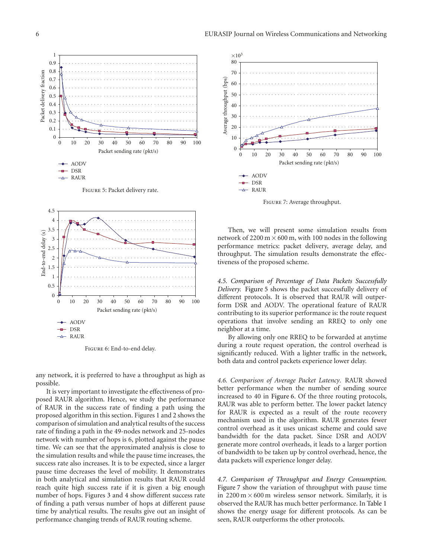

Figure 5: Packet delivery rate.



Figure 6: End-to-end delay.

any network, it is preferred to have a throughput as high as possible.

It is very important to investigate the effectiveness of proposed RAUR algorithm. Hence, we study the performance of RAUR in the success rate of finding a path using the proposed algorithm in this section. Figures 1 and 2 shows the comparison of simulation and analytical results of the success rate of finding a path in the 49-nodes network and 25-nodes network with number of hops is 6, plotted against the pause time. We can see that the approximated analysis is close to the simulation results and while the pause time increases, the success rate also increases. It is to be expected, since a larger pause time decreases the level of mobility. It demonstrates in both analytical and simulation results that RAUR could reach quite high success rate if it is given a big enough number of hops. Figures 3 and 4 show different success rate of finding a path versus number of hops at different pause time by analytical results. The results give out an insight of performance changing trends of RAUR routing scheme.



Figure 7: Average throughput.

Then, we will present some simulation results from network of 2200 m  $\times$  600 m, with 100 nodes in the following performance metrics: packet delivery, average delay, and throughput. The simulation results demonstrate the effectiveness of the proposed scheme.

*4.5. Comparison of Percentage of Data Packets Successfully Delivery.* Figure 5 shows the packet successfully delivery of different protocols. It is observed that RAUR will outperform DSR and AODV. The operational feature of RAUR contributing to its superior performance is: the route request operations that involve sending an RREQ to only one neighbor at a time.

By allowing only one RREQ to be forwarded at anytime during a route request operation, the control overhead is significantly reduced. With a lighter traffic in the network, both data and control packets experience lower delay.

*4.6. Comparison of Average Packet Latency.* RAUR showed better performance when the number of sending source increased to 40 in Figure 6. Of the three routing protocols, RAUR was able to perform better. The lower packet latency for RAUR is expected as a result of the route recovery mechanism used in the algorithm. RAUR generates fewer control overhead as it uses unicast scheme and could save bandwidth for the data packet. Since DSR and AODV generate more control overheads, it leads to a larger portion of bandwidth to be taken up by control overhead, hence, the data packets will experience longer delay.

*4.7. Comparison of Throughput and Energy Consumption.* Figure 7 show the variation of throughput with pause time in  $2200 \text{ m} \times 600 \text{ m}$  wireless sensor network. Similarly, it is observed the RAUR has much better performance. In Table 1 shows the energy usage for different protocols. As can be seen, RAUR outperforms the other protocols.